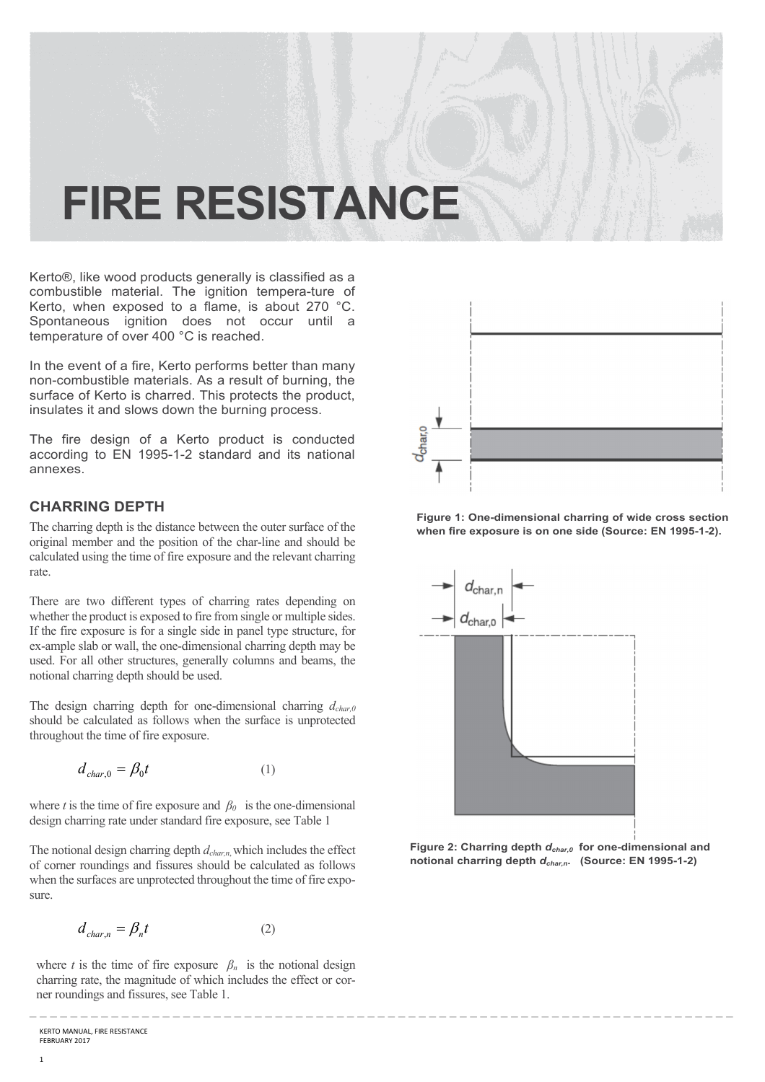# **FIRE RESISTANCE**

Kerto®, like wood products generally is classified as a combustible material. The ignition tempera-ture of Kerto, when exposed to a flame, is about 270 °C. Spontaneous ignition does not occur until a temperature of over 400 °C is reached.

In the event of a fire, Kerto performs better than many non-combustible materials. As a result of burning, the surface of Kerto is charred. This protects the product, insulates it and slows down the burning process.

The fire design of a Kerto product is conducted according to EN 1995-1-2 standard and its national annexes.

## **CHARRING DEPTH**

The charring depth is the distance between the outer surface of the original member and the position of the char-line and should be calculated using the time of fire exposure and the relevant charring rate.

There are two different types of charring rates depending on whether the product is exposed to fire from single or multiple sides. If the fire exposure is for a single side in panel type structure, for ex-ample slab or wall, the one-dimensional charring depth may be used. For all other structures, generally columns and beams, the notional charring depth should be used.

The design charring depth for one-dimensional charring *dchar,0*  should be calculated as follows when the surface is unprotected throughout the time of fire exposure.

$$
d_{char,0} = \beta_0 t \tag{1}
$$

where *t* is the time of fire exposure and  $\beta_0$  is the one-dimensional design charring rate under standard fire exposure, see Table 1

The notional design charring depth *dchar,n*, which includes the effect of corner roundings and fissures should be calculated as follows when the surfaces are unprotected throughout the time of fire exposure.

$$
d_{char,n} = \beta_n t \tag{2}
$$

where *t* is the time of fire exposure  $\beta_n$  is the notional design charring rate, the magnitude of which includes the effect or corner roundings and fissures, see Table 1.

\_ \_ \_ \_ \_ \_ \_ \_ \_ \_ \_ \_ \_ \_ \_ \_ \_ \_ \_ \_ \_ \_ \_ \_ \_ \_ \_ \_ \_ \_ \_ \_ \_ \_ \_ \_ \_ \_ \_ \_ \_ \_ \_ \_ \_ \_ \_ \_ \_ \_ \_ \_ \_ \_ \_ \_ \_ \_ \_ \_ \_ \_ \_ \_ \_ \_ \_ \_ \_



**Figure 1: One-dimensional charring of wide cross section when fire exposure is on one side (Source: EN 1995-1-2).** 



**Figure 2: Charring depth** *dchar,0* **for one-dimensional and notional charring depth** *dchar,n***. (Source: EN 1995-1-2)**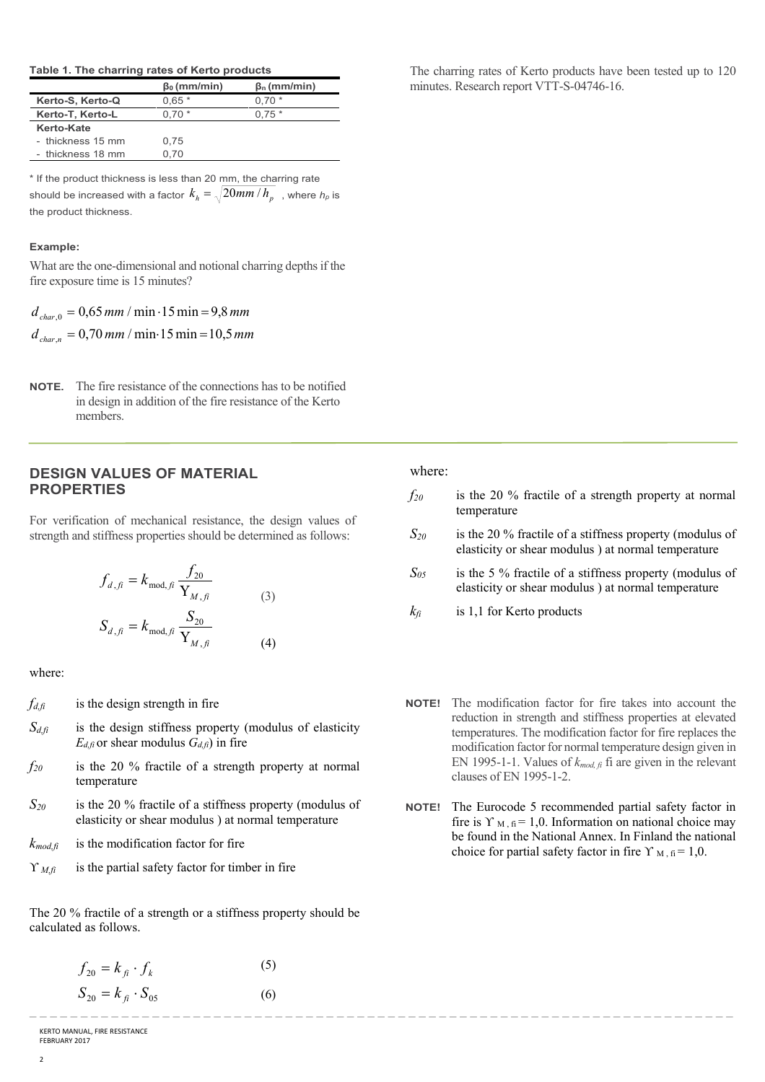#### **Table 1. The charring rates of Kerto products**

|                   | $\beta_0$ (mm/min) | $\beta_n$ (mm/min) |
|-------------------|--------------------|--------------------|
| Kerto-S, Kerto-Q  | $0.65*$            | $0.70*$            |
| Kerto-T, Kerto-L  | $0.70*$            | $0.75*$            |
| Kerto-Kate        |                    |                    |
| - thickness 15 mm | 0.75               |                    |
| - thickness 18 mm | 0.70               |                    |

\* If the product thickness is less than 20 mm, the charring rate should be increased with a factor  $\,_{h}$  =  $\sqrt{20mm}$  /  $h_{p} \,$  , where  $h_{p}$  is the product thickness.

#### **Example:**

What are the one-dimensional and notional charring depths if the fire exposure time is 15 minutes?

 $d_{char,n} = 0,70$  mm / min 15 min = 10,5 mm  $d_{char,0} = 0,65$  *mm* / min  $\cdot$  15 min = 9,8 *mm* 

**NOTE.** The fire resistance of the connections has to be notified in design in addition of the fire resistance of the Kerto members.

## **DESIGN VALUES OF MATERIAL PROPERTIES**

For verification of mechanical resistance, the design values of strength and stiffness properties should be determined as follows:

$$
f_{d, fi} = k_{\text{mod}, fi} \frac{f_{20}}{Y_{M, fi}}
$$
  

$$
S_{d, fi} = k_{\text{mod}, fi} \frac{S_{20}}{Y_{M, fi}}
$$
 (3)

where:

- $f_{d,fi}$  is the design strength in fire
- $S_{d,fi}$  is the design stiffness property (modulus of elasticity  $E_{d,f}$  or shear modulus  $G_{d,f}$ ) in fire
- *f20* is the 20 % fractile of a strength property at normal temperature
- *S20* is the 20 % fractile of a stiffness property (modulus of elasticity or shear modulus ) at normal temperature
- $k_{mod,fi}$  is the modification factor for fire
- $\Upsilon_{M,fi}$  is the partial safety factor for timber in fire

The 20 % fractile of a strength or a stiffness property should be calculated as follows.

(6)

$$
f_{20} = k_{fi} \cdot f_k
$$
 (5)  

$$
S_{20} = k_{fi} \cdot S_{05}
$$
 (6)

The charring rates of Kerto products have been tested up to 120 minutes. Research report VTT-S-04746-16.

## where:

\_ \_ \_ \_ \_ \_ \_ \_ \_ \_ \_ \_ \_ \_ \_ \_ \_ \_ \_ \_ \_ \_ \_ \_ \_ \_ \_ \_ \_ \_ \_ \_ \_ \_ \_ \_ \_ \_ \_ \_ \_ \_ \_ \_ \_ \_ \_ \_ \_ \_ \_ \_ \_ \_ \_ \_ \_ \_ \_ \_ \_ \_ \_ \_ \_ \_ \_ \_ \_

- *f20* is the 20 % fractile of a strength property at normal temperature
- *S20* is the 20 % fractile of a stiffness property (modulus of elasticity or shear modulus ) at normal temperature
- $S_{05}$  is the 5 % fractile of a stiffness property (modulus of elasticity or shear modulus ) at normal temperature
- $k_f$  is 1,1 for Kerto products
- **NOTE!** The modification factor for fire takes into account the reduction in strength and stiffness properties at elevated temperatures. The modification factor for fire replaces the modification factor for normal temperature design given in EN 1995-1-1. Values of *kmod, fi* fi are given in the relevant clauses of EN 1995-1-2.
- **NOTE!** The Eurocode 5 recommended partial safety factor in fire is  $\Upsilon_{\text{M},\text{fi}} = 1,0$ . Information on national choice may be found in the National Annex. In Finland the national choice for partial safety factor in fire  $\Upsilon_{\text{M},\text{fi}} = 1.0$ .

KERTO MANUAL, FIRE RESISTANCE FEBRUARY 2017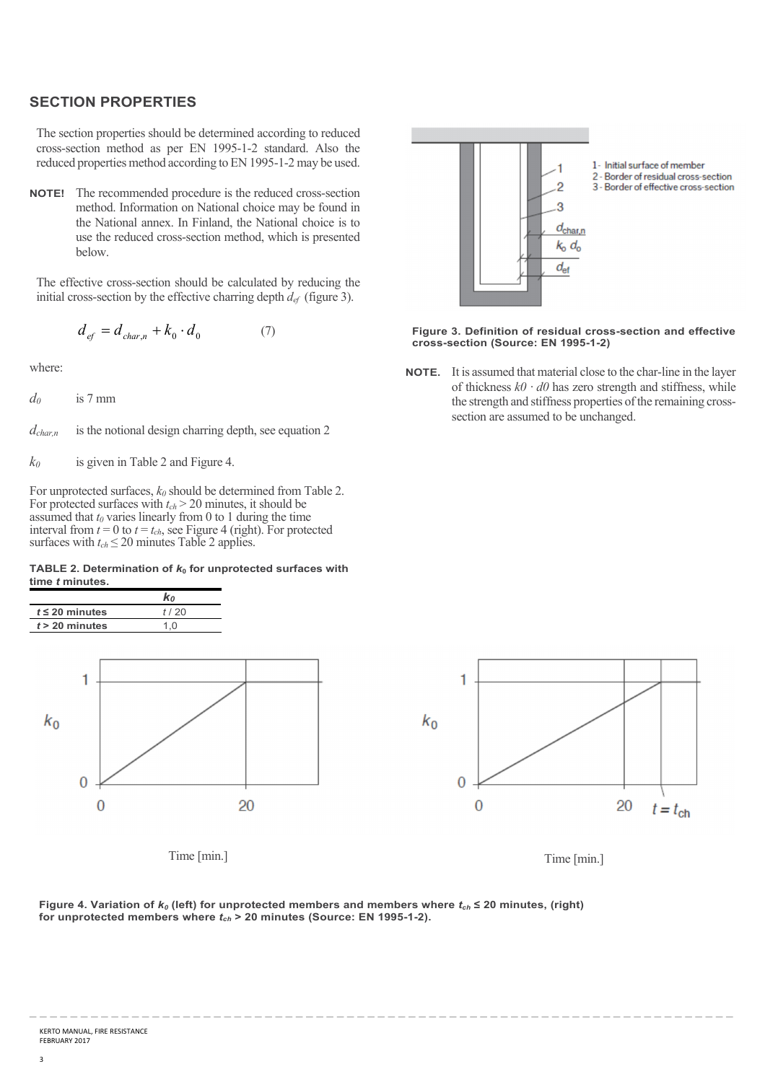## **SECTION PROPERTIES**

The section properties should be determined according to reduced cross-section method as per EN 1995-1-2 standard. Also the reduced properties method according to EN 1995-1-2 may be used.

**NOTE!** The recommended procedure is the reduced cross-section method. Information on National choice may be found in the National annex. In Finland, the National choice is to use the reduced cross-section method, which is presented below.

The effective cross-section should be calculated by reducing the initial cross-section by the effective charring depth  $d_{ef}$  (figure 3).

$$
d_{ef} = d_{char,n} + k_0 \cdot d_0 \tag{7}
$$

where:

*d0* is 7 mm

*dchar,n* is the notional design charring depth, see equation 2

*k0* is given in Table 2 and Figure 4.

For unprotected surfaces, *k0* should be determined from Table 2. For protected surfaces with  $t_{ch}$  > 20 minutes, it should be assumed that  $t_0$  varies linearly from 0 to 1 during the time interval from  $t = 0$  to  $t = t_{ch}$ , see Figure 4 (right). For protected surfaces with  $t_{ch} \leq 20$  minutes Table 2 applies.

#### **TABLE 2. Determination of**  $k_0$  **for unprotected surfaces with time** *t* **minutes.**





Time [min.]



**Figure 3. Definition of residual cross-section and effective cross-section (Source: EN 1995-1-2)** 

**NOTE.** It is assumed that material close to the char-line in the layer of thickness  $k\theta \cdot d\theta$  has zero strength and stiffness, while the strength and stiffness properties of the remaining crosssection are assumed to be unchanged.



Time [min.]

![](_page_2_Figure_19.jpeg)

\_ \_ \_ \_ \_ \_ \_ \_ \_ \_ \_ \_ \_ \_ \_ \_ \_ \_ \_ \_ \_ \_ \_ \_ \_ \_ \_ \_ \_ \_ \_ \_ \_ \_ \_ \_ \_ \_ \_ \_ \_ \_ \_ \_ \_ \_ \_ \_ \_ \_ \_ \_ \_ \_ \_ \_ \_ \_ \_ \_ \_ \_ \_ \_ \_ \_ \_ \_ \_